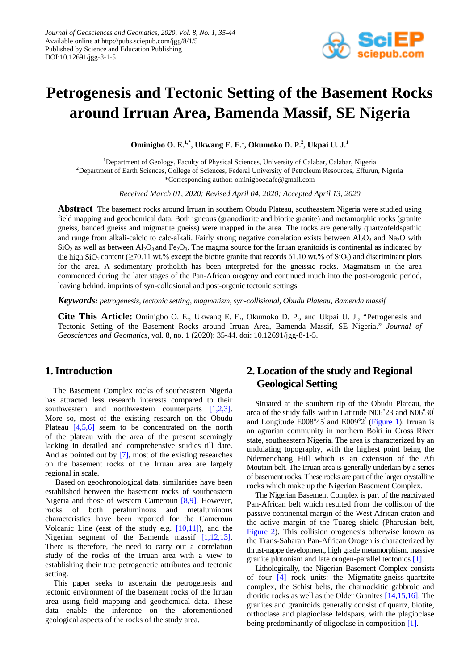

# **Petrogenesis and Tectonic Setting of the Basement Rocks around Irruan Area, Bamenda Massif, SE Nigeria**

**Ominigbo O. E.1,\*, Ukwang E. E.1 , Okumoko D. P. 2 , Ukpai U. J.<sup>1</sup>**

<sup>1</sup>Department of Geology, Faculty of Physical Sciences, University of Calabar, Calabar, Nigeria 2 Department of Earth Sciences, College of Sciences, Federal University of Petroleum Resources, Effurun, Nigeria \*Corresponding author: ominigboedafe@gmail.com

*Received March 01, 2020; Revised April 04, 2020; Accepted April 13, 2020*

**Abstract** The basement rocks around Irruan in southern Obudu Plateau, southeastern Nigeria were studied using field mapping and geochemical data. Both igneous (granodiorite and biotite granite) and metamorphic rocks (granite gneiss, banded gneiss and migmatite gneiss) were mapped in the area. The rocks are generally quartzofeldspathic and range from alkali-calcic to calc-alkali. Fairly strong negative correlation exists between  $A_2O_3$  and Na<sub>2</sub>O with  $SiO<sub>2</sub>$  as well as between Al<sub>2</sub>O<sub>3</sub> and Fe<sub>2</sub>O<sub>3</sub>. The magma source for the Irruan granitoids is continental as indicated by the high SiO<sub>2</sub> content ( $\geq$ 70.11 wt.% except the biotite granite that records 61.10 wt.% of SiO<sub>2</sub>) and discriminant plots for the area. A sedimentary protholith has been interpreted for the gneissic rocks. Magmatism in the area commenced during the later stages of the Pan-African orogeny and continued much into the post-orogenic period, leaving behind, imprints of syn-collosional and post-orgenic tectonic settings.

*Keywords: petrogenesis, tectonic setting, magmatism, syn-collisional, Obudu Plateau, Bamenda massif*

**Cite This Article:** Ominigbo O. E., Ukwang E. E., Okumoko D. P., and Ukpai U. J., "Petrogenesis and Tectonic Setting of the Basement Rocks around Irruan Area, Bamenda Massif, SE Nigeria." *Journal of Geosciences and Geomatics*, vol. 8, no. 1 (2020): 35-44. doi: 10.12691/jgg-8-1-5.

## **1. Introduction**

The Basement Complex rocks of southeastern Nigeria has attracted less research interests compared to their southwestern and northwestern counterparts [\[1,2,3\].](#page-8-0) More so, most of the existing research on the Obudu Plateau [\[4,5,6\]](#page-8-1) seem to be concentrated on the north of the plateau with the area of the present seemingly lacking in detailed and comprehensive studies till date. And as pointed out by [\[7\],](#page-8-2) most of the existing researches on the basement rocks of the Irruan area are largely regional in scale.

Based on geochronological data, similarities have been established between the basement rocks of southeastern Nigeria and those of western Cameroun [\[8,9\].](#page-8-3) However, rocks of both peraluminous and metaluminous characteristics have been reported for the Cameroun Volcanic Line (east of the study e.g. [\[10,11\]\)](#page-8-4), and the Nigerian segment of the Bamenda massif [\[1,12,13\].](#page-8-0) There is therefore, the need to carry out a correlation study of the rocks of the Irruan area with a view to establishing their true petrogenetic attributes and tectonic setting.

This paper seeks to ascertain the petrogenesis and tectonic environment of the basement rocks of the Irruan area using field mapping and geochemical data. These data enable the inference on the aforementioned geological aspects of the rocks of the study area.

# **2. Location of the study and Regional Geological Setting**

Situated at the southern tip of the Obudu Plateau, the area of the study falls within Latitude  $N06^{\circ}23'$  and  $N06^{\circ}30'$ and Longitude E008°45' and E009°2' [\(Figure 1\)](#page-1-0). Irruan is an agrarian community in northern Boki in Cross River state, southeastern Nigeria. The area is characterized by an undulating topography, with the highest point being the Ndemenchang Hill which is an extension of the Afi Moutain belt. The Irruan area is generally underlain by a series of basement rocks. These rocks are part of the larger crystalline rocks which make up the Nigerian Basement Complex.

The Nigerian Basement Complex is part of the reactivated Pan-African belt which resulted from the collision of the passive continental margin of the West African craton and the active margin of the Tuareg shield (Pharusian belt, [Figure 2\)](#page-1-1). This collision orogenesis otherwise known as the Trans-Saharan Pan-African Orogen is characterized by thrust-nappe development, high grade metamorphism, massive granite plutonism and late orogen-parallel tectonics [\[1\].](#page-8-0)

Lithologically, the Nigerian Basement Complex consists of four [\[4\]](#page-8-1) rock units: the Migmatite-gneiss-quartzite complex, the Schist belts, the charnockitic gabbroic and dioritic rocks as well as the Older Granites [\[14,15,16\].](#page-8-5) The granites and granitoids generally consist of quartz, biotite, orthoclase and plagioclase feldspars, with the plagioclase being predominantly of oligoclase in composition [\[1\].](#page-8-0)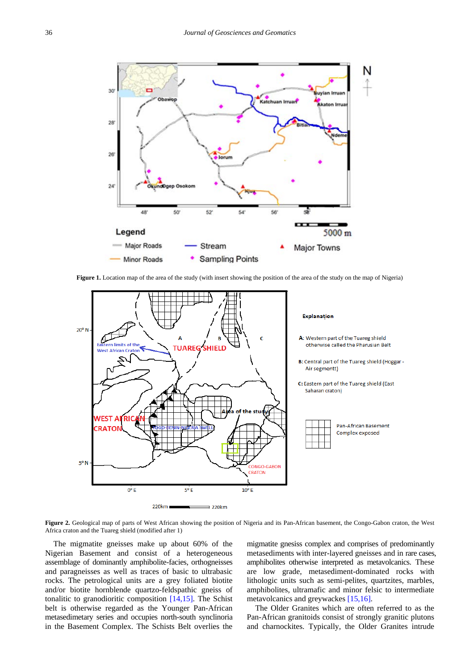<span id="page-1-0"></span>

**Figure 1.** Location map of the area of the study (with insert showing the position of the area of the study on the map of Nigeria)

<span id="page-1-1"></span>

Figure 2. Geological map of parts of West African showing the position of Nigeria and its Pan-African basement, the Congo-Gabon craton, the West Africa craton and the Tuareg shield (modified after 1)

The migmatite gneisses make up about 60% of the Nigerian Basement and consist of a heterogeneous assemblage of dominantly amphibolite-facies, orthogneisses and paragneisses as well as traces of basic to ultrabasic rocks. The petrological units are a grey foliated biotite and/or biotite hornblende quartzo-feldspathic gneiss of tonalitic to granodioritic composition [\[14,15\].](#page-8-5) The Schist belt is otherwise regarded as the Younger Pan-African metasedimetary series and occupies north-south synclinoria in the Basement Complex. The Schists Belt overlies the

migmatite gnesiss complex and comprises of predominantly metasediments with inter-layered gneisses and in rare cases, amphibolites otherwise interpreted as metavolcanics. These are low grade, metasediment-dominated rocks with lithologic units such as semi-pelites, quartzites, marbles, amphibolites, ultramafic and minor felsic to intermediate metavolcanics and greywackes [\[15,16\].](#page-8-6)

The Older Granites which are often referred to as the Pan-African granitoids consist of strongly granitic plutons and charnockites. Typically, the Older Granites intrude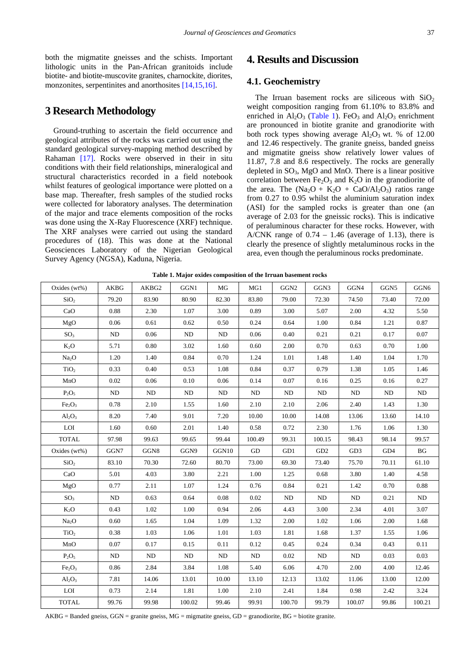both the migmatite gneisses and the schists. Important lithologic units in the Pan-African granitoids include biotite- and biotite-muscovite granites, charnockite, diorites, monzonites, serpentinites and anorthosite[s \[14,15,16\].](#page-8-5)

### **3 Research Methodology**

Ground-truthing to ascertain the field occurrence and geological attributes of the rocks was carried out using the standard geological survey-mapping method described by Rahaman [\[17\].](#page-8-7) Rocks were observed in their in situ conditions with their field relationships, mineralogical and structural characteristics recorded in a field notebook whilst features of geological importance were plotted on a base map. Thereafter, fresh samples of the studied rocks were collected for laboratory analyses. The determination of the major and trace elements composition of the rocks was done using the X-Ray Fluorescence (XRF) technique. The XRF analyses were carried out using the standard procedures of (18). This was done at the National Geosciences Laboratory of the Nigerian Geological Survey Agency (NGSA), Kaduna, Nigeria.

# **4. Results and Discussion**

#### **4.1. Geochemistry**

The Irruan basement rocks are siliceous with  $SiO<sub>2</sub>$ weight composition ranging from 61.10% to 83.8% and enriched in  $Al_2O_3$  [\(Table](#page-2-0) 1). FeO<sub>3</sub> and  $Al_2O_3$  enrichment are pronounced in biotite granite and granodiorite with both rock types showing average  $Al_2O_3$  wt. % of 12.00 and 12.46 respectively. The granite gneiss, banded gneiss and migmatite gneiss show relatively lower values of 11.87, 7.8 and 8.6 respectively. The rocks are generally depleted in  $SO_3$ , MgO and MnO. There is a linear positive correlation between  $Fe<sub>2</sub>O<sub>3</sub>$  and  $K<sub>2</sub>O$  in the granodiorite of the area. The  $(Na_2O + K_2O + CaO/Al_2O_3)$  ratios range from 0.27 to 0.95 whilst the aluminium saturation index (ASI) for the sampled rocks is greater than one (an average of 2.03 for the gneissic rocks). This is indicative of peraluminous character for these rocks. However, with A/CNK range of  $0.74 - 1.46$  (average of 1.13), there is clearly the presence of slightly metaluminous rocks in the area, even though the peraluminous rocks predominate.

<span id="page-2-0"></span>

| Oxides (wt%)                   | <b>AKBG</b> | AKBG2 | GGN1   | MG    | MG1    | GGN <sub>2</sub> | GGN3            | GGN4            | GGN5  | GGN6     |
|--------------------------------|-------------|-------|--------|-------|--------|------------------|-----------------|-----------------|-------|----------|
| SiO <sub>2</sub>               | 79.20       | 83.90 | 80.90  | 82.30 | 83.80  | 79.00            | 72.30           | 74.50           | 73.40 | 72.00    |
| CaO                            | 0.88        | 2.30  | 1.07   | 3.00  | 0.89   | 3.00             | 5.07            | 2.00            | 4.32  | 5.50     |
| MgO                            | 0.06        | 0.61  | 0.62   | 0.50  | 0.24   | 0.64             | 1.00            | 0.84            | 1.21  | 0.87     |
| SO <sub>3</sub>                | ND          | 0.06  | ND     | ND    | 0.06   | 0.40             | 0.21            | 0.21            | 0.17  | 0.07     |
| $K_2O$                         | 5.71        | 0.80  | 3.02   | 1.60  | 0.60   | 2.00             | 0.70            | 0.63            | 0.70  | 1.00     |
| Na <sub>2</sub> O              | 1.20        | 1.40  | 0.84   | 0.70  | 1.24   | 1.01             | 1.48            | 1.40            | 1.04  | 1.70     |
| TiO <sub>2</sub>               | 0.33        | 0.40  | 0.53   | 1.08  | 0.84   | 0.37             | 0.79            | 1.38            | 1.05  | 1.46     |
| MnO                            | 0.02        | 0.06  | 0.10   | 0.06  | 0.14   | 0.07             | 0.16            | 0.25            | 0.16  | 0.27     |
| $P_2O_5$                       | ND          | ND    | ND     | ND    | ND     | ND               | $\rm ND$        | $\rm ND$        | ND    | $\rm ND$ |
| Fe <sub>2</sub> O <sub>3</sub> | 0.78        | 2.10  | 1.55   | 1.60  | 2.10   | 2.10             | 2.06            | 2.40            | 1.43  | 1.30     |
| $Al_2O_3$                      | 8.20        | 7.40  | 9.01   | 7.20  | 10.00  | 10.00            | 14.08           | 13.06           | 13.60 | 14.10    |
| LOI                            | 1.60        | 0.60  | 2.01   | 1.40  | 0.58   | 0.72             | 2.30            | 1.76            | 1.06  | 1.30     |
| <b>TOTAL</b>                   | 97.98       | 99.63 | 99.65  | 99.44 | 100.49 | 99.31            | 100.15          | 98.43           | 98.14 | 99.57    |
| Oxides (wt%)                   | GGN7        | GGN8  | GGN9   | GGN10 | GD     | GD1              | GD <sub>2</sub> | GD <sub>3</sub> | GD4   | BG       |
| SiO <sub>2</sub>               | 83.10       | 70.30 | 72.60  | 80.70 | 73.00  | 69.30            | 73.40           | 75.70           | 70.11 | 61.10    |
| CaO                            | 5.01        | 4.03  | 3.80   | 2.21  | 1.00   | 1.25             | 0.68            | 3.80            | 1.40  | 4.58     |
| MgO                            | 0.77        | 2.11  | 1.07   | 1.24  | 0.76   | 0.84             | 0.21            | 1.42            | 0.70  | 0.88     |
| SO <sub>3</sub>                | ND          | 0.63  | 0.64   | 0.08  | 0.02   | ND               | ND              | ND              | 0.21  | ND       |
| $K_2O$                         | 0.43        | 1.02  | 1.00   | 0.94  | 2.06   | 4.43             | 3.00            | 2.34            | 4.01  | 3.07     |
| Na <sub>2</sub> O              | 0.60        | 1.65  | 1.04   | 1.09  | 1.32   | 2.00             | 1.02            | 1.06            | 2.00  | 1.68     |
| TiO <sub>2</sub>               | 0.38        | 1.03  | 1.06   | 1.01  | 1.03   | 1.81             | 1.68            | 1.37            | 1.55  | 1.06     |
| MnO                            | 0.07        | 0.17  | 0.15   | 0.11  | 0.12   | 0.45             | 0.24            | 0.34            | 0.43  | 0.11     |
| $P_2O_5$                       | ND          | ND    | ND     | ND    | ND     | 0.02             | ND              | ND              | 0.03  | 0.03     |
| Fe <sub>2</sub> O <sub>3</sub> | 0.86        | 2.84  | 3.84   | 1.08  | 5.40   | 6.06             | 4.70            | 2.00            | 4.00  | 12.46    |
| $Al_2O_3$                      | 7.81        | 14.06 | 13.01  | 10.00 | 13.10  | 12.13            | 13.02           | 11.06           | 13.00 | 12.00    |
| LOI                            | 0.73        | 2.14  | 1.81   | 1.00  | 2.10   | 2.41             | 1.84            | 0.98            | 2.42  | 3.24     |
| <b>TOTAL</b>                   | 99.76       | 99.98 | 100.02 | 99.46 | 99.91  | 100.70           | 99.79           | 100.07          | 99.86 | 100.21   |

**Table 1. Major oxides composition of the Irruan basement rocks**

 $AKBG = B$ anded gneiss,  $GGN =$  granite gneiss,  $MG =$  migmatite gneiss,  $GD =$  granodiorite,  $BG =$  biotite granite.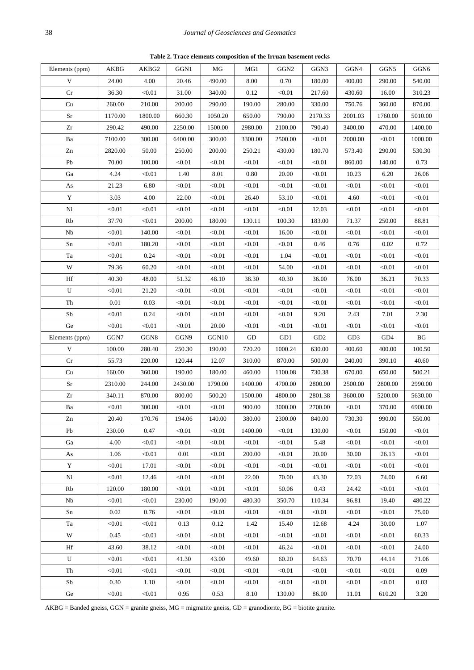**Table 2. Trace elements composition of the Irruan basement rocks**

<span id="page-3-0"></span>

| Elements (ppm)             | AKBG    | AKBG2   | GGN1    | MG      | MG1                 | GGN <sub>2</sub> | GGN3            | GGN4            | GGN5    | $_{\mathrm{GGN6}}$ |
|----------------------------|---------|---------|---------|---------|---------------------|------------------|-----------------|-----------------|---------|--------------------|
| $\ensuremath{\mathbf{V}}$  | 24.00   | 4.00    | 20.46   | 490.00  | 8.00                | 0.70             | 180.00          | 400.00          | 290.00  | 540.00             |
| $\rm Cr$                   | 36.30   | < 0.01  | 31.00   | 340.00  | 0.12                | < 0.01           | 217.60          | 430.60          | 16.00   | 310.23             |
| $\ensuremath{\mathrm{Cu}}$ | 260.00  | 210.00  | 200.00  | 290.00  | 190.00              | 280.00           | 330.00          | 750.76          | 360.00  | 870.00             |
| $\rm Sr$                   | 1170.00 | 1800.00 | 660.30  | 1050.20 | 650.00              | 790.00           | 2170.33         | 2001.03         | 1760.00 | 5010.00            |
| $\rm Zr$                   | 290.42  | 490.00  | 2250.00 | 1500.00 | 2980.00             | 2100.00          | 790.40          | 3400.00         | 470.00  | 1400.00            |
| Ba                         | 7100.00 | 300.00  | 6400.00 | 300.00  | 3300.00             | 2500.00          | < 0.01          | 2000.00         | < 0.01  | 1000.00            |
| Zn                         | 2820.00 | 50.00   | 250.00  | 200.00  | 250.21              | 430.00           | 180.70          | 573.40          | 290.00  | 530.30             |
| Pb                         | 70.00   | 100.00  | < 0.01  | < 0.01  | < 0.01              | < 0.01           | < 0.01          | 860.00          | 140.00  | 0.73               |
| Ga                         | 4.24    | < 0.01  | 1.40    | 8.01    | 0.80                | 20.00            | < 0.01          | 10.23           | 6.20    | 26.06              |
| $\mathbf{A}\mathbf{s}$     | 21.23   | 6.80    | < 0.01  | < 0.01  | < 0.01              | < 0.01           | < 0.01          | < 0.01          | < 0.01  | < 0.01             |
| $\mathbf Y$                | 3.03    | 4.00    | 22.00   | < 0.01  | 26.40               | 53.10            | < 0.01          | 4.60            | < 0.01  | < 0.01             |
| $\mathrm{Ni}$              | < 0.01  | < 0.01  | < 0.01  | < 0.01  | < 0.01              | < 0.01           | 12.03           | < 0.01          | < 0.01  | < 0.01             |
| Rb                         | 37.70   | < 0.01  | 200.00  | 180.00  | 130.11              | 100.30           | 183.00          | 71.37           | 250.00  | 88.81              |
| Nb                         | < 0.01  | 140.00  | < 0.01  | < 0.01  | < 0.01              | 16.00            | < 0.01          | < 0.01          | < 0.01  | < 0.01             |
| Sn                         | < 0.01  | 180.20  | < 0.01  | < 0.01  | < 0.01              | < 0.01           | 0.46            | 0.76            | 0.02    | 0.72               |
| Ta                         | < 0.01  | 0.24    | < 0.01  | < 0.01  | < 0.01              | 1.04             | < 0.01          | < 0.01          | < 0.01  | < 0.01             |
| W                          | 79.36   | 60.20   | < 0.01  | < 0.01  | < 0.01              | 54.00            | < 0.01          | < 0.01          | < 0.01  | < 0.01             |
| Hf                         | 40.30   | 48.00   | 51.32   | 48.10   | 38.30               | 40.30            | 36.00           | 76.00           | 36.21   | 70.33              |
| ${\bf U}$                  | < 0.01  | 21.20   | < 0.01  | < 0.01  | < 0.01              | < 0.01           | < 0.01          | < 0.01          | < 0.01  | < 0.01             |
| Th                         | 0.01    | 0.03    | < 0.01  | < 0.01  | < 0.01              | < 0.01           | < 0.01          | < 0.01          | < 0.01  | < 0.01             |
| ${\rm Sb}$                 | < 0.01  | 0.24    | < 0.01  | < 0.01  | < 0.01              | < 0.01           | 9.20            | 2.43            | 7.01    | 2.30               |
| $\rm{Ge}$                  | < 0.01  | < 0.01  | < 0.01  | 20.00   | < 0.01              | < 0.01           | < 0.01          | < 0.01          | < 0.01  | < 0.01             |
| Elements (ppm)             | GGN7    | GGN8    | GGN9    | GGN10   | $\operatorname{GD}$ | GD1              | GD <sub>2</sub> | GD <sub>3</sub> | GD4     | BG                 |
| $\mathbf V$                | 100.00  | 280.40  | 250.30  | 190.00  | 720.20              | 1000.24          | 630.00          | 400.60          | 400.00  | 100.50             |
| Cr                         | 55.73   | 220.00  | 120.44  | 12.07   | 310.00              | 870.00           | 500.00          | 240.00          | 390.10  | 40.60              |
| Cu                         | 160.00  | 360.00  | 190.00  | 180.00  | 460.00              | 1100.08          | 730.38          | 670.00          | 650.00  | 500.21             |
| $\rm Sr$                   | 2310.00 | 244.00  | 2430.00 | 1790.00 | 1400.00             | 4700.00          | 2800.00         | 2500.00         | 2800.00 | 2990.00            |
| $\mathbf{Z}\mathbf{r}$     | 340.11  | 870.00  | 800.00  | 500.20  | 1500.00             | 4800.00          | 2801.38         | 3600.00         | 5200.00 | 5630.00            |
| Ba                         | < 0.01  | 300.00  | < 0.01  | $<0.01$ | 900.00              | 3000.00          | 2700.00         | < 0.01          | 370.00  | 6900.00            |
| ${\rm Zn}$                 | 20.40   | 170.76  | 194.06  | 140.00  | 380.00              | 2300.00          | 840.00          | 730.30          | 990.00  | 550.00             |
| Pb                         | 230.00  | 0.47    | < 0.01  | < 0.01  | 1400.00             | < 0.01           | 130.00          | < 0.01          | 150.00  | < 0.01             |
| Ga                         | 4.00    | < 0.01  | < 0.01  | < 0.01  | < 0.01              | < 0.01           | 5.48            | < 0.01          | < 0.01  | < 0.01             |
| As                         | 1.06    | < 0.01  | 0.01    | < 0.01  | 200.00              | < 0.01           | 20.00           | 30.00           | 26.13   | < 0.01             |
| Y                          | < 0.01  | 17.01   | < 0.01  | < 0.01  | < 0.01              | < 0.01           | < 0.01          | < 0.01          | < 0.01  | < 0.01             |
| Ni                         | < 0.01  | 12.46   | < 0.01  | < 0.01  | 22.00               | 70.00            | 43.30           | 72.03           | 74.00   | 6.60               |
| Rb                         | 120.00  | 180.00  | < 0.01  | < 0.01  | < 0.01              | 50.06            | 0.43            | 24.42           | < 0.01  | < 0.01             |
| Nb                         | < 0.01  | < 0.01  | 230.00  | 190.00  | 480.30              | 350.70           | 110.34          | 96.81           | 19.40   | 480.22             |
| Sn                         | 0.02    | 0.76    | < 0.01  | < 0.01  | < 0.01              | < 0.01           | < 0.01          | < 0.01          | < 0.01  | 75.00              |
| Ta                         | < 0.01  | < 0.01  | 0.13    | 0.12    | 1.42                | 15.40            | 12.68           | 4.24            | 30.00   | 1.07               |
| W                          | 0.45    | < 0.01  | < 0.01  | < 0.01  | < 0.01              | < 0.01           | < 0.01          | < 0.01          | < 0.01  | 60.33              |
| Hf                         | 43.60   | 38.12   | < 0.01  | < 0.01  | < 0.01              | 46.24            | < 0.01          | < 0.01          | < 0.01  | 24.00              |
| U                          | < 0.01  | < 0.01  | 41.30   | 43.00   | 49.60               | 60.20            | 64.63           | 70.70           | 44.14   | 71.06              |
| Th                         | < 0.01  | < 0.01  | < 0.01  | < 0.01  | < 0.01              | < 0.01           | < 0.01          | < 0.01          | < 0.01  | 0.09               |
| Sb                         | 0.30    | 1.10    | < 0.01  | < 0.01  | < 0.01              | < 0.01           | $0.01$          | < 0.01          | < 0.01  | 0.03               |
| Ge                         | < 0.01  | < 0.01  | 0.95    | 0.53    | 8.10                | 130.00           | 86.00           | 11.01           | 610.20  | 3.20               |

AKBG = Banded gneiss, GGN = granite gneiss, MG = migmatite gneiss, GD = granodiorite, BG = biotite granite.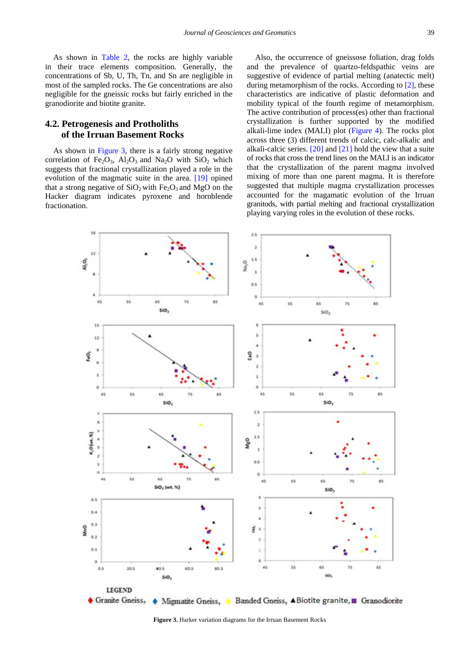As shown in [Table 2,](#page-3-0) the rocks are highly variable in their trace elements composition. Generally, the concentrations of Sb, U, Th, Tn, and Sn are negligible in most of the sampled rocks. The Ge concentrations are also negligible for the gneissic rocks but fairly enriched in the granodiorite and biotite granite.

#### **4.2. Petrogenesis and Protholiths of the Irruan Basement Rocks**

As shown in [Figure 3,](#page-4-0) there is a fairly strong negative correlation of Fe<sub>2</sub>O<sub>3</sub>, Al<sub>2</sub>O<sub>3</sub> and Na<sub>2</sub>O with SiO<sub>2</sub> which suggests that fractional crystallization played a role in the evolution of the magmatic suite in the area. [\[19\]](#page-8-8) opined that a strong negative of  $SiO<sub>2</sub>$  with Fe<sub>2</sub>O<sub>3</sub> and MgO on the Hacker diagram indicates pyroxene and hornblende fractionation.

Also, the occurrence of gneissose foliation, drag folds and the prevalence of quartzo-feldspathic veins are suggestive of evidence of partial melting (anatectic melt) during metamorphism of the rocks. According to [\[2\],](#page-8-9) these characteristics are indicative of plastic deformation and mobility typical of the fourth regime of metamorphism. The active contribution of process(es) other than fractional crystallization is further supported by the modified alkali-lime index (MALI) plot [\(Figure 4\)](#page-5-0). The rocks plot across three (3) different trends of calcic, calc-alkalic and alkali-calcic series.  $[20]$  and  $[21]$  hold the view that a suite of rocks that cross the trend lines on the MALI is an indicator that the crystallization of the parent magma involved mixing of more than one parent magma. It is therefore suggested that multiple magma crystallization processes accounted for the magamatic evolution of the Irruan granitods, with partial melting and fractional crystallization playing varying roles in the evolution of these rocks.

<span id="page-4-0"></span>

**Figure 3.** Harker variation diagrams for the Irruan Basement Rocks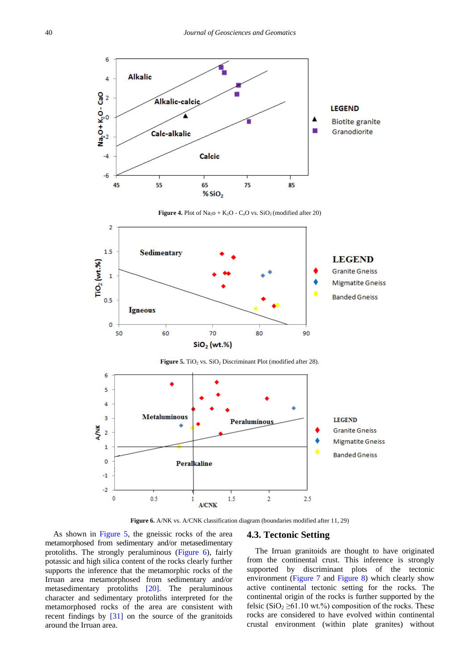<span id="page-5-0"></span>

**Figure 4.** Plot of  $Na<sub>2</sub>O + K<sub>2</sub>O - C<sub>a</sub>O$  vs.  $SiO<sub>2</sub>(modified after 20)$ 

<span id="page-5-1"></span>

**Figure 6.** A/NK vs. A/CNK classification diagram (boundaries modified after 11, 29)

 $1<sub>5</sub>$ 

**A/CNK** 

As shown in [Figure 5,](#page-5-1) the gneissic rocks of the area metamorphosed from sedimentary and/or metasedimentary protoliths. The strongly peraluminous [\(Figure 6\)](#page-5-2), fairly potassic and high silica content of the rocks clearly further supports the inference that the metamorphic rocks of the Irruan area metamorphosed from sedimentary and/or metasedimentary protoliths [\[20\].](#page-8-10) The peraluminous character and sedimentary protoliths interpreted for the metamorphosed rocks of the area are consistent with recent findings by [\[31\]](#page-9-0) on the source of the granitoids around the Irruan area.

 $0.5$ 

<span id="page-5-2"></span> $-2$  $\mathbf 0$ 

#### **4.3. Tectonic Setting**

 $2.5$ 

 $\overline{2}$ 

The Irruan granitoids are thought to have originated from the continental crust. This inference is strongly supported by discriminant plots of the tectonic environment [\(Figure 7](#page-6-0) and [Figure 8\)](#page-6-1) which clearly show active continental tectonic setting for the rocks. The continental origin of the rocks is further supported by the felsic (SiO<sub>2</sub>  $\geq$ 61.10 wt.%) composition of the rocks. These rocks are considered to have evolved within continental crustal environment (within plate granites) without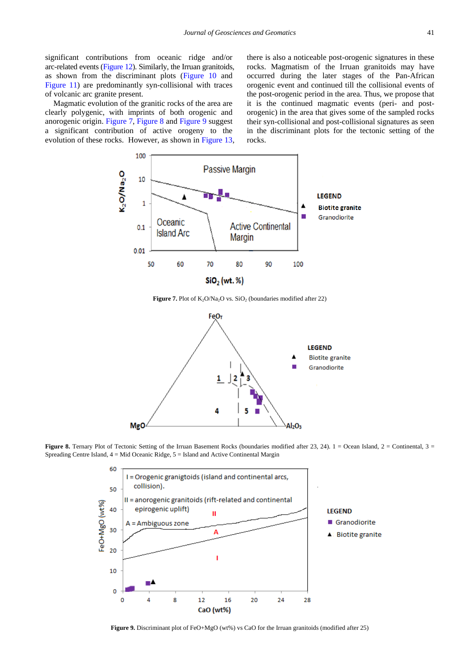significant contributions from oceanic ridge and/or arc-related events [\(Figure 12\)](#page-7-0). Similarly, the Irruan granitoids, as shown from the discriminant plots [\(Figure 10](#page-7-1) and [Figure](#page-7-2) 11) are predominantly syn-collisional with traces of volcanic arc granite present.

<span id="page-6-0"></span>Magmatic evolution of the granitic rocks of the area are clearly polygenic, with imprints of both orogenic and anorogenic origin. [Figure 7,](#page-6-0) [Figure 8](#page-6-1) and [Figure 9](#page-6-2) suggest a significant contribution of active orogeny to the evolution of these rocks. However, as shown in [Figure 13,](#page-7-3) there is also a noticeable post-orogenic signatures in these rocks. Magmatism of the Irruan granitoids may have occurred during the later stages of the Pan-African orogenic event and continued till the collisional events of the post-orogenic period in the area. Thus, we propose that it is the continued magmatic events (peri- and postorogenic) in the area that gives some of the sampled rocks their syn-collisional and post-collisional signatures as seen in the discriminant plots for the tectonic setting of the rocks.



**Figure 7.** Plot of K<sub>2</sub>O/Na<sub>2</sub>O vs. SiO<sub>2</sub> (boundaries modified after 22)

<span id="page-6-1"></span>

<span id="page-6-2"></span>**Figure 8.** Ternary Plot of Tectonic Setting of the Irruan Basement Rocks (boundaries modified after 23, 24).  $1 =$  Ocean Island,  $2 =$  Continental,  $3 =$ Spreading Centre Island, 4 = Mid Oceanic Ridge, 5 = Island and Active Continental Margin



**Figure 9.** Discriminant plot of FeO+MgO (wt%) vs CaO for the Irruan granitoids (modified after 25)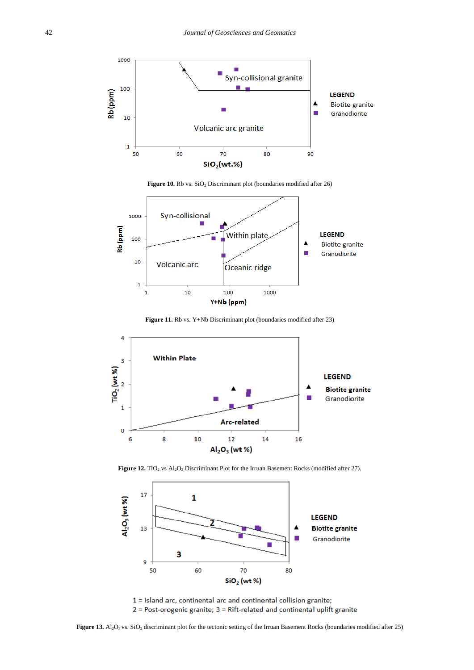<span id="page-7-1"></span>

Figure 10. Rb vs. SiO<sub>2</sub> Discriminant plot (boundaries modified after 26)

<span id="page-7-2"></span>

**Figure 11.** Rb vs. Y+Nb Discriminant plot (boundaries modified after 23)

<span id="page-7-0"></span>

Figure 12. TiO<sub>2</sub> vs Al<sub>2</sub>O<sub>3</sub> Discriminant Plot for the Irruan Basement Rocks (modified after 27).

<span id="page-7-3"></span>

1 = Island arc, continental arc and continental collision granite; 2 = Post-orogenic granite; 3 = Rift-related and continental uplift granite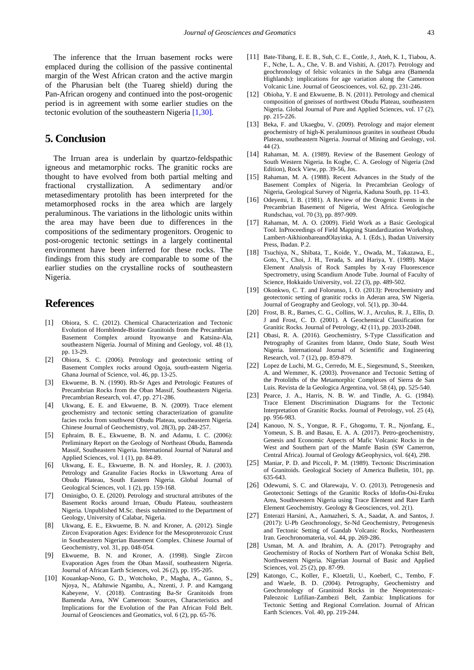The inference that the Irruan basement rocks were emplaced during the collision of the passive continental margin of the West African craton and the active margin of the Pharusian belt (the Tuareg shield) during the Pan-African orogeny and continued into the post-orogenic period is in agreement with some earlier studies on the tectonic evolution of the southeastern Nigeri[a \[1,30\].](#page-8-0)

# **5. Conclusion**

The Irruan area is underlain by quartzo-feldspathic igneous and metamorphic rocks. The granitic rocks are thought to have evolved from both partial melting and fractional crystallization. A sedimentary and/or metasedimentary protolith has been interpreted for the metamorphosed rocks in the area which are largely peraluminous. The variations in the lithologic units within the area may have been due to differences in the compositions of the sedimentary progenitors. Orogenic to post-orogenic tectonic settings in a largely continental environment have been inferred for these rocks. The findings from this study are comparable to some of the earlier studies on the crystalline rocks of southeastern Nigeria.

# **References**

- <span id="page-8-0"></span>[1] Obiora, S. C. (2012). Chemical Characterization and Tectonic Evolution of Hornblende-Biotite Granitoids from the Precambrian Basement Complex around Ityowanye and Katsina-Ala, southeastern Nigeria. Journal of Mining and Geology, vol. 48 (1), pp. 13-29.
- <span id="page-8-9"></span>[2] Obiora, S. C. (2006). Petrology and geotectonic setting of Basement Complex rocks around Ogoja, south-eastern Nigeria. Ghana Journal of Science, vol. 46, pp. 13-25.
- [3] Ekwueme, B. N. (1990). Rb-Sr Ages and Petrologic Features of Precambrian Rocks from the Oban Massif, Southeastern Nigeria. Precambrian Research, vol. 47, pp. 271-286.
- <span id="page-8-1"></span>[4] Ukwang, E. E. and Ekwueme, B. N. (2009). Trace element geochemistry and tectonic setting characterization of granulite facies rocks from southwest Obudu Plateau, southeastern Nigeria. Chinese Journal of Geochemistry, vol. 28(3), pp. 248-257.
- Ephraim, B. E., Ekwueme, B. N. and Adamu, I. C. (2006): Preliminary Report on the Geology of Northeast Obudu, Bamenda Massif, Southeastern Nigeria. International Journal of Natural and Applied Sciences, vol. 1 (1), pp. 84-89.
- [6] Ukwang, E. E., Ekwueme, B. N. and Horsley, R. J. (2003). Petrology and Granulite Facies Rocks in Ukwortung Area of Obudu Plateau, South Eastern Nigeria. Global Journal of Geological Sciences, vol. 1 (2), pp. 159-168.
- <span id="page-8-2"></span>[7] Ominigbo, O. E. (2020). Petrology and structural attributes of the Basement Rocks around Irruan, Obudu Plateau, southeastern Nigeria. Unpublished M.Sc. thesis submitted to the Department of Geology, University of Calabar, Nigeria.
- <span id="page-8-3"></span>[8] Ukwang, E. E., Ekwueme, B. N. and Kroner, A. (2012). Single Zircon Evaporation Ages: Evidence for the Mesoproterozoic Crust in Southeastern Nigerian Basement Complex. Chinese Journal of Geochemistry, vol. 31, pp. 048-054.
- [9] Ekwueme, B. N. and Kroner, A. (1998). Single Zircon Evaporation Ages from the Oban Massif, southeastern Nigeria. Journal of African Earth Sciences, vol. 26 (2), pp. 195-205.
- <span id="page-8-4"></span>[10] Kouankap-Nono, G. D., Wotchoko, P., Magha, A., Ganno, S., Njoya, N., Afahnwie Ngambu, A., Nzenti, J. P. and Kamgang Kabeyene, V. (2018). Contrasting Ba-Sr Granitoids from Bamenda Area, NW Cameroon: Sources, Characteristics and Implications for the Evolution of the Pan African Fold Belt. Journal of Geosciences and Geomatics, vol. 6 (2), pp. 65-76.
- [11] Bate-Tibang, E. E. B., Suh, C. E., Cottle, J., Ateh, K. I., Tiabou, A. F., Nche, L. A., Che, V. B. and Vishiti, A. (2017). Petrology and geochronology of felsic volcanics in the Sabga area (Bamenda Highlands): implications for age variation along the Cameroon Volcanic Line. Journal of Geoscioences, vol. 62, pp. 231-246.
- [12] Obioha, Y. E and Ekwueme, B. N. (2011). Petrology and chemical composition of gneisses of northwest Obudu Plateau, southeastern Nigeria. Global Journal of Pure and Applied Sciences, vol. 17 (2), pp. 215-226.
- [13] Beka, F. and Ukaegbu, V. (2009). Petrology and major element geochemistry of high-K peraluminous granites in southeast Obudu Plateau, southeastern Nigeria. Journal of Mining and Geology, vol. 44 (2).
- <span id="page-8-5"></span>[14] Rahaman, M. A. (1989). Review of the Basement Geology of South Western Nigeria. In Kogbe, C. A. Geology of Nigeria (2nd Edition), Rock View, pp. 39-56, Jos.
- <span id="page-8-6"></span>[15] Rahaman, M. A. (1988). Recent Advances in the Study of the Basement Complex of Nigeria. In Precambrian Geology of Nigeria, Geological Survey of Nigeria, Kaduna South, pp. 11-43.
- [16] Odeyemi, I. B. (1981). A Review of the Orogenic Events in the Precambrian Basement of Nigeria, West Africa. Geologische Rundschau, vol. 70 (3), pp. 897-909.
- <span id="page-8-7"></span>[17] Rahaman, M. A. O. (2009). Field Work as a Basic Geological Tool. InProceedings of Field Mapping Standardization Workshop, Lambert-AikhionbareandOlayinka, A. I. (Eds.), Ibadan University Press, Ibadan. P.2.
- [18] Tsuchiya, N., Shibata, T., Koide, Y., Owada, M., Takazawa, E., Goto, Y., Choi, J. H., Terada, S. and Hariya, Y. (1989). Major Element Analysis of Rock Samples by X-ray Fluorescence Spectrometry, using Scandium Anode Tube. Journal of Faculty of Science, Hokkaido University, vol. 22 (3), pp. 489-502.
- <span id="page-8-8"></span>[19] Okonkwo, C. T. and Folorunso, I. O. (2013): Petrochemistry and geotectonic setting of granitic rocks in Aderan area, SW Nigeria. Journal of Geography and Geology, vol. 5(1), pp. 30-44.
- <span id="page-8-10"></span>[20] Frost, B. R., Barnes, C. G., Collins, W. J., Arculus, R. J., Ellis, D. J and Frost, C. D. (2001). A Geochemical Classification for Granitic Rocks. Journal of Petrology, 42 (11), pp. 2033-2048.
- <span id="page-8-11"></span>[21] Obasi, R. A. (2016). Geochemistry, S-Type Classification and Petrography of Granites from Idanre, Ondo State, South West Nigeria. International Journal of Scientific and Engineering Research, vol. 7 (12), pp. 859-879.
- [22] Lopez de Luchi, M. G., Cerredo, M. E., Siegesmund, S., Steenken, A. and Wemmer, K. (2003). Provenance and Tectonic Setting of the Protoliths of the Metamorphic Complexes of Sierra de San Luis. Revista de la Geologica Argentina, vol. 58 (4), pp. 525-540.
- [23] Pearce, J. A., Harris, N. B. W. and Tindle, A. G. (1984). Trace Element Discrimination Diagrams for the Tectonic Interpretation of Granitic Rocks. Journal of Petrology, vol. 25 (4), pp. 956-983.
- [24] Kanouo, N. S., Yongue, R. F., Ghogomu, T. R., Njonfang, E., Yomeun, S. B. and Basau, E. A. A. (2017). Petro-geochemistry, Genesis and Economic Aspects of Mafic Volcanic Rocks in the West and Southern part of the Mamfe Basin (SW Camerron, Central Africa). Journal of Geology &Geophysics, vol. 6(4), 298.
- [25] Maniar, P. D. and Piccoli, P. M. (1989). Tectonic Discrimination of Granitoids. Geological Society of America Bulletin, 101, pp. 635-643.
- [26] Odewumi, S. C. and Olarewaju, V. O. (2013). Petrogenesis and Geotectonic Settings of the Granitic Rocks of Idofin-Osi-Eruku Area, Southwestern Nigeria using Trace Element and Rare Earth Element Geochemistry. Geology & Geosciences, vol. 2(1).
- [27] Enterazi Harsini, A., Aamazheri, S. A., Saadat, A. and Santos, J. (2017): U-Pb Geochronology, Sr-Nd Geochemistry, Petrogenesis and Tectonic Setting of Gandab Volcanic Rocks, Northeastern Iran. Geochronomateria, vol. 44, pp. 269-286.
- [28] Usman, M. A. and Ibrahim, A. A. (2017). Petrography and Geochemistry of Rocks of Northern Part of Wonaka Schist Belt, Northwestern Nigeria. Nigerian Journal of Basic and Applied Sciences, vol. 25 (2), pp. 87-99.
- [29] Katongo, C., Koller, F., Kloetzli, U., Koeberl, C., Tembo, F. and Waele, B. D. (2004). Petrography, Geochemistry and Geochronology of Granitoid Rocks in the Neoproterozoic-Paleozoic Lufilian-Zambezi Belt, Zambia: Implications for Tectonic Setting and Regional Correlation. Journal of African Earth Sciences. Vol. 40, pp. 219-244.